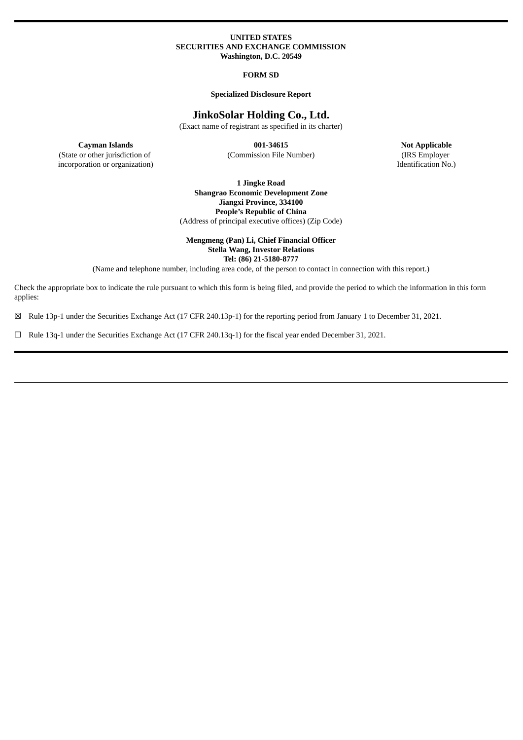## **UNITED STATES SECURITIES AND EXCHANGE COMMISSION Washington, D.C. 20549**

## **FORM SD**

## **Specialized Disclosure Report**

## **JinkoSolar Holding Co., Ltd.**

(Exact name of registrant as specified in its charter)

(State or other jurisdiction of incorporation or organization)

**Cayman Islands 001-34615 Not Applicable** (Commission File Number) (IRS Employer

Identification No.)

**1 Jingke Road Shangrao Economic Development Zone Jiangxi Province, 334100 People's Republic of China** (Address of principal executive offices) (Zip Code)

## **Mengmeng (Pan) Li, Chief Financial Officer Stella Wang, Investor Relations Tel: (86) 21-5180-8777**

(Name and telephone number, including area code, of the person to contact in connection with this report.)

Check the appropriate box to indicate the rule pursuant to which this form is being filed, and provide the period to which the information in this form applies:

☒ Rule 13p-1 under the Securities Exchange Act (17 CFR 240.13p-1) for the reporting period from January 1 to December 31, 2021.

☐ Rule 13q-1 under the Securities Exchange Act (17 CFR 240.13q-1) for the fiscal year ended December 31, 2021.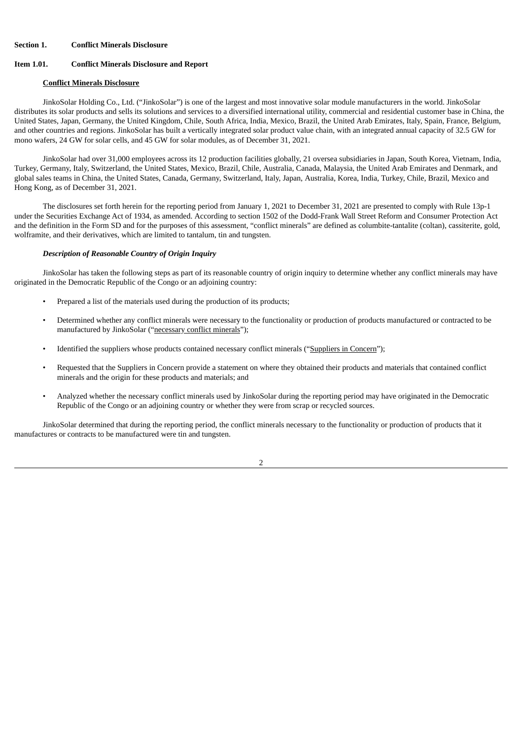## **Section 1. Conflict Minerals Disclosure**

## **Item 1.01. Conflict Minerals Disclosure and Report**

#### **Conflict Minerals Disclosure**

JinkoSolar Holding Co., Ltd. ("JinkoSolar") is one of the largest and most innovative solar module manufacturers in the world. JinkoSolar distributes its solar products and sells its solutions and services to a diversified international utility, commercial and residential customer base in China, the United States, Japan, Germany, the United Kingdom, Chile, South Africa, India, Mexico, Brazil, the United Arab Emirates, Italy, Spain, France, Belgium, and other countries and regions. JinkoSolar has built a vertically integrated solar product value chain, with an integrated annual capacity of 32.5 GW for mono wafers, 24 GW for solar cells, and 45 GW for solar modules, as of December 31, 2021.

JinkoSolar had over 31,000 employees across its 12 production facilities globally, 21 oversea subsidiaries in Japan, South Korea, Vietnam, India, Turkey, Germany, Italy, Switzerland, the United States, Mexico, Brazil, Chile, Australia, Canada, Malaysia, the United Arab Emirates and Denmark, and global sales teams in China, the United States, Canada, Germany, Switzerland, Italy, Japan, Australia, Korea, India, Turkey, Chile, Brazil, Mexico and Hong Kong, as of December 31, 2021.

The disclosures set forth herein for the reporting period from January 1, 2021 to December 31, 2021 are presented to comply with Rule 13p-1 under the Securities Exchange Act of 1934, as amended. According to section 1502 of the Dodd-Frank Wall Street Reform and Consumer Protection Act and the definition in the Form SD and for the purposes of this assessment, "conflict minerals" are defined as columbite-tantalite (coltan), cassiterite, gold, wolframite, and their derivatives, which are limited to tantalum, tin and tungsten.

#### *Description of Reasonable Country of Origin Inquiry*

JinkoSolar has taken the following steps as part of its reasonable country of origin inquiry to determine whether any conflict minerals may have originated in the Democratic Republic of the Congo or an adjoining country:

- Prepared a list of the materials used during the production of its products;
- Determined whether any conflict minerals were necessary to the functionality or production of products manufactured or contracted to be manufactured by JinkoSolar ("necessary conflict minerals");
- Identified the suppliers whose products contained necessary conflict minerals ("Suppliers in Concern");
- Requested that the Suppliers in Concern provide a statement on where they obtained their products and materials that contained conflict minerals and the origin for these products and materials; and
- Analyzed whether the necessary conflict minerals used by JinkoSolar during the reporting period may have originated in the Democratic Republic of the Congo or an adjoining country or whether they were from scrap or recycled sources.

JinkoSolar determined that during the reporting period, the conflict minerals necessary to the functionality or production of products that it manufactures or contracts to be manufactured were tin and tungsten.

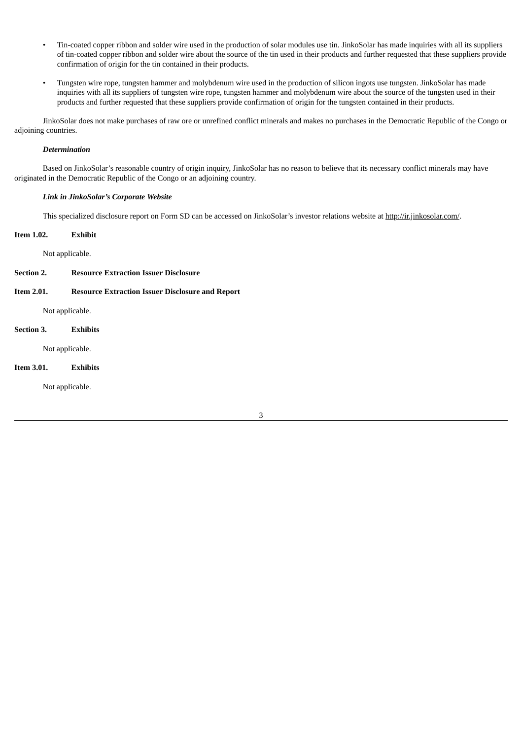- Tin-coated copper ribbon and solder wire used in the production of solar modules use tin. JinkoSolar has made inquiries with all its suppliers of tin-coated copper ribbon and solder wire about the source of the tin used in their products and further requested that these suppliers provide confirmation of origin for the tin contained in their products.
- Tungsten wire rope, tungsten hammer and molybdenum wire used in the production of silicon ingots use tungsten. JinkoSolar has made inquiries with all its suppliers of tungsten wire rope, tungsten hammer and molybdenum wire about the source of the tungsten used in their products and further requested that these suppliers provide confirmation of origin for the tungsten contained in their products.

JinkoSolar does not make purchases of raw ore or unrefined conflict minerals and makes no purchases in the Democratic Republic of the Congo or adjoining countries.

## *Determination*

Based on JinkoSolar's reasonable country of origin inquiry, JinkoSolar has no reason to believe that its necessary conflict minerals may have originated in the Democratic Republic of the Congo or an adjoining country.

## *Link in JinkoSolar's Corporate Website*

This specialized disclosure report on Form SD can be accessed on JinkoSolar's investor relations website at http://ir.jinkosolar.com/.

## **Item 1.02. Exhibit**

Not applicable.

## **Section 2. Resource Extraction Issuer Disclosure**

**Item 2.01. Resource Extraction Issuer Disclosure and Report**

Not applicable.

## **Section 3. Exhibits**

Not applicable.

## **Item 3.01. Exhibits**

Not applicable.